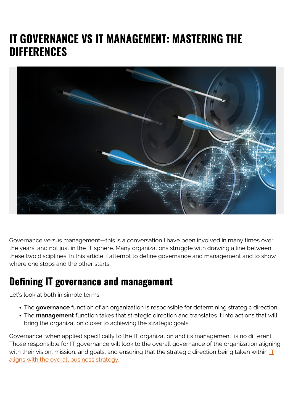# **IT GOVERNANCE VS IT MANAGEMENT: MASTERING THE DIFFERENCES**



Governance versus management—this is a conversation I have been involved in many times over the years, and not just in the IT sphere. Many organizations struggle with drawing a line between these two disciplines. In this article, I attempt to define governance and management and to show where one stops and the other starts.

#### **Defining IT governance and management**

Let's look at both in simple terms:

- The **governance** function of an organization is responsible for determining strategic direction.
- The **management** function takes that strategic direction and translates it into actions that will bring the organization closer to achieving the strategic goals.

Governance, when applied specifically to the IT organization and its management, is no different. Those responsible for IT governance will look to the overall governance of the organization aligning with their vision, mission, and goals, and ensuring that the strategic direction being taken within  $\mathbf{I}$ [aligns with the overall business strategy](https://blogs.bmc.com/blogs/it-business-alignment/).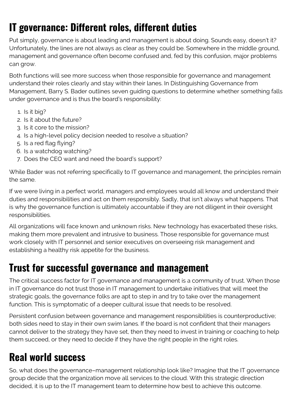# **IT governance: Different roles, different duties**

Put simply, governance is about leading and management is about doing. Sounds easy, doesn't it? Unfortunately, the lines are not always as clear as they could be. Somewhere in the middle ground, management and governance often become confused and, fed by this confusion, major problems can grow.

Both functions will see more success when those responsible for governance and management understand their roles clearly and stay within their lanes. In Distinguishing Governance from Management, Barry S. Bader outlines seven guiding questions to determine whether something falls under governance and is thus the board's responsibility:

- 1. Is it big?
- 2. Is it about the future?
- 3. Is it core to the mission?
- 4. Is a high-level policy decision needed to resolve a situation?
- 5. Is a red flag flying?
- 6. Is a watchdog watching?
- 7. Does the CEO want and need the board's support?

While Bader was not referring specifically to IT governance and management, the principles remain the same.

If we were living in a perfect world, managers and employees would all know and understand their duties and responsibilities and act on them responsibly. Sadly, that isn't always what happens. That is why the governance function is ultimately accountable if they are not diligent in their oversight responsibilities.

All organizations will face known and unknown risks. New technology has exacerbated these risks, making them more prevalent and intrusive to business. Those responsible for governance must work closely with IT personnel and senior executives on overseeing risk management and establishing a healthy risk appetite for the business.

#### **Trust for successful governance and management**

The critical success factor for IT governance and management is a community of trust. When those in IT governance do not trust those in IT management to undertake initiatives that will meet the strategic goals, the governance folks are apt to step in and try to take over the management function. This is symptomatic of a deeper cultural issue that needs to be resolved.

Persistent confusion between governance and management responsibilities is counterproductive; both sides need to stay in their own swim lanes. If the board is not confident that their managers cannot deliver to the strategy they have set, then they need to invest in training or coaching to help them succeed, or they need to decide if they have the right people in the right roles.

## **Real world success**

So, what does the governance–management relationship look like? Imagine that the IT governance group decide that the organization move all services to the cloud. With this strategic direction decided, it is up to the IT management team to determine how best to achieve this outcome.